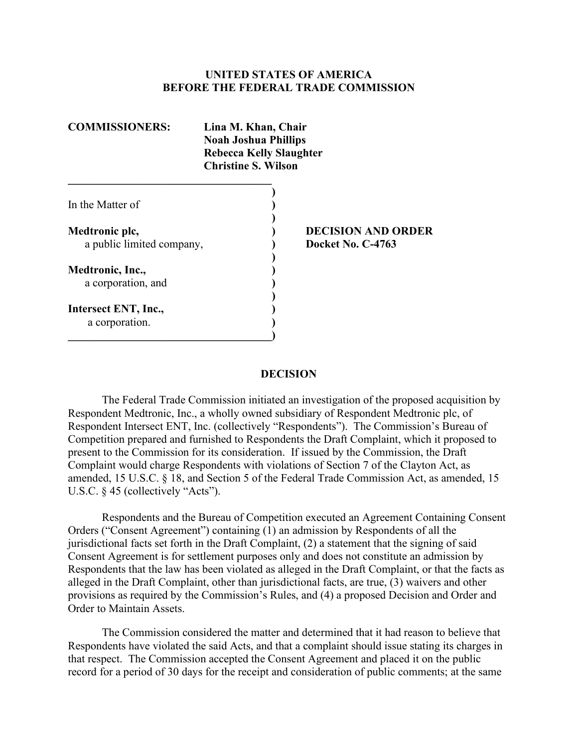#### **UNITED STATES OF AMERICA BEFORE THE FEDERAL TRADE COMMISSION**

| <b>COMMISSIONERS:</b>     | Lina M. Khan, Chair<br><b>Noah Joshua Phillips</b><br><b>Rebecca Kelly Slaughter</b><br><b>Christine S. Wilson</b> |  |
|---------------------------|--------------------------------------------------------------------------------------------------------------------|--|
|                           |                                                                                                                    |  |
| In the Matter of          |                                                                                                                    |  |
| Medtronic plc,            | <b>DECISION AND ORDER</b>                                                                                          |  |
| a public limited company, | Docket No. C-4763                                                                                                  |  |
| Medtronic, Inc.,          |                                                                                                                    |  |
| a corporation, and        |                                                                                                                    |  |
| Intersect ENT, Inc.,      |                                                                                                                    |  |
| a corporation.            |                                                                                                                    |  |
|                           |                                                                                                                    |  |

#### **DECISION**

 Respondent Medtronic, Inc., a wholly owned subsidiary of Respondent Medtronic plc, of The Federal Trade Commission initiated an investigation of the proposed acquisition by Respondent Intersect ENT, Inc. (collectively "Respondents"). The Commission's Bureau of Competition prepared and furnished to Respondents the Draft Complaint, which it proposed to present to the Commission for its consideration. If issued by the Commission, the Draft Complaint would charge Respondents with violations of Section 7 of the Clayton Act, as amended, 15 U.S.C. § 18, and Section 5 of the Federal Trade Commission Act, as amended, 15 U.S.C. § 45 (collectively "Acts").

Respondents and the Bureau of Competition executed an Agreement Containing Consent Orders ("Consent Agreement") containing (1) an admission by Respondents of all the jurisdictional facts set forth in the Draft Complaint, (2) a statement that the signing of said Consent Agreement is for settlement purposes only and does not constitute an admission by Respondents that the law has been violated as alleged in the Draft Complaint, or that the facts as alleged in the Draft Complaint, other than jurisdictional facts, are true, (3) waivers and other provisions as required by the Commission's Rules, and (4) a proposed Decision and Order and Order to Maintain Assets.

 Respondents have violated the said Acts, and that a complaint should issue stating its charges in The Commission considered the matter and determined that it had reason to believe that that respect. The Commission accepted the Consent Agreement and placed it on the public record for a period of 30 days for the receipt and consideration of public comments; at the same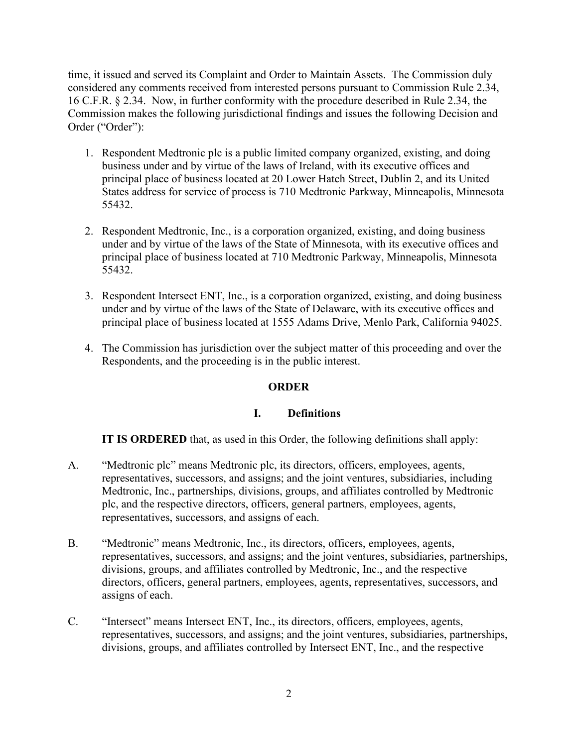time, it issued and served its Complaint and Order to Maintain Assets. The Commission duly considered any comments received from interested persons pursuant to Commission Rule 2.34, 16 C.F.R. § 2.34. Now, in further conformity with the procedure described in Rule 2.34, the Commission makes the following jurisdictional findings and issues the following Decision and Order ("Order"):

- 1. Respondent Medtronic plc is a public limited company organized, existing, and doing business under and by virtue of the laws of Ireland, with its executive offices and principal place of business located at 20 Lower Hatch Street, Dublin 2, and its United States address for service of process is 710 Medtronic Parkway, Minneapolis, Minnesota 55432.
- 2. Respondent Medtronic, Inc., is a corporation organized, existing, and doing business under and by virtue of the laws of the State of Minnesota, with its executive offices and principal place of business located at 710 Medtronic Parkway, Minneapolis, Minnesota 55432.
- 3. Respondent Intersect ENT, Inc., is a corporation organized, existing, and doing business under and by virtue of the laws of the State of Delaware, with its executive offices and principal place of business located at 1555 Adams Drive, Menlo Park, California 94025.
- 4. The Commission has jurisdiction over the subject matter of this proceeding and over the Respondents, and the proceeding is in the public interest.

# **ORDER**

# **I. Definitions**

**IT IS ORDERED** that, as used in this Order, the following definitions shall apply:

- A. "Medtronic plc" means Medtronic plc, its directors, officers, employees, agents, representatives, successors, and assigns; and the joint ventures, subsidiaries, including Medtronic, Inc., partnerships, divisions, groups, and affiliates controlled by Medtronic plc, and the respective directors, officers, general partners, employees, agents, representatives, successors, and assigns of each.
- B. "Medtronic" means Medtronic, Inc., its directors, officers, employees, agents, representatives, successors, and assigns; and the joint ventures, subsidiaries, partnerships, divisions, groups, and affiliates controlled by Medtronic, Inc., and the respective directors, officers, general partners, employees, agents, representatives, successors, and assigns of each.
- C. "Intersect" means Intersect ENT, Inc., its directors, officers, employees, agents, representatives, successors, and assigns; and the joint ventures, subsidiaries, partnerships, divisions, groups, and affiliates controlled by Intersect ENT, Inc., and the respective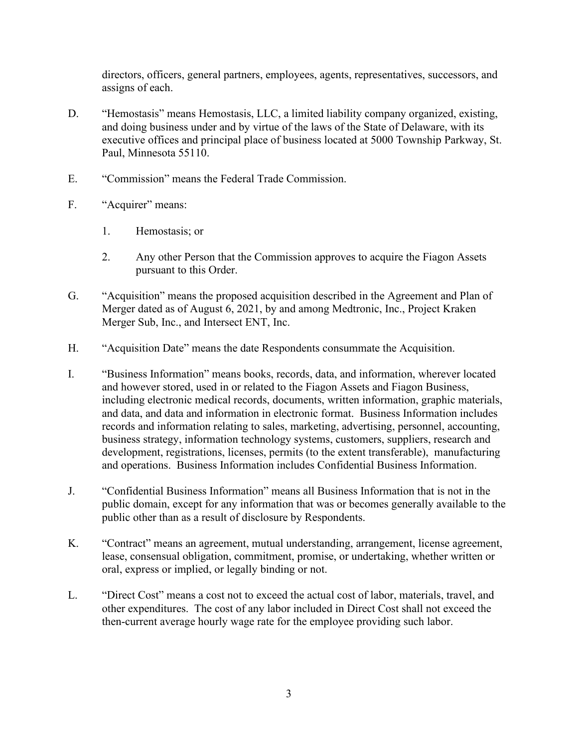directors, officers, general partners, employees, agents, representatives, successors, and assigns of each.

- D. "Hemostasis" means Hemostasis, LLC, a limited liability company organized, existing, and doing business under and by virtue of the laws of the State of Delaware, with its executive offices and principal place of business located at 5000 Township Parkway, St. Paul, Minnesota 55110.
- E. "Commission" means the Federal Trade Commission.
- F. "Acquirer" means:
	- 1. Hemostasis; or
	- 2. Any other Person that the Commission approves to acquire the Fiagon Assets pursuant to this Order.
- G. "Acquisition" means the proposed acquisition described in the Agreement and Plan of Merger dated as of August 6, 2021, by and among Medtronic, Inc., Project Kraken Merger Sub, Inc., and Intersect ENT, Inc.
- H. "Acquisition Date" means the date Respondents consummate the Acquisition.
- and data, and data and information in electronic format. Business Information includes business strategy, information technology systems, customers, suppliers, research and and operations. Business Information includes Confidential Business Information. I. "Business Information" means books, records, data, and information, wherever located and however stored, used in or related to the Fiagon Assets and Fiagon Business, including electronic medical records, documents, written information, graphic materials, records and information relating to sales, marketing, advertising, personnel, accounting, development, registrations, licenses, permits (to the extent transferable), manufacturing
- J. "Confidential Business Information" means all Business Information that is not in the public domain, except for any information that was or becomes generally available to the public other than as a result of disclosure by Respondents.
- K. "Contract" means an agreement, mutual understanding, arrangement, license agreement, lease, consensual obligation, commitment, promise, or undertaking, whether written or oral, express or implied, or legally binding or not.
- L. "Direct Cost" means a cost not to exceed the actual cost of labor, materials, travel, and other expenditures. The cost of any labor included in Direct Cost shall not exceed the then-current average hourly wage rate for the employee providing such labor.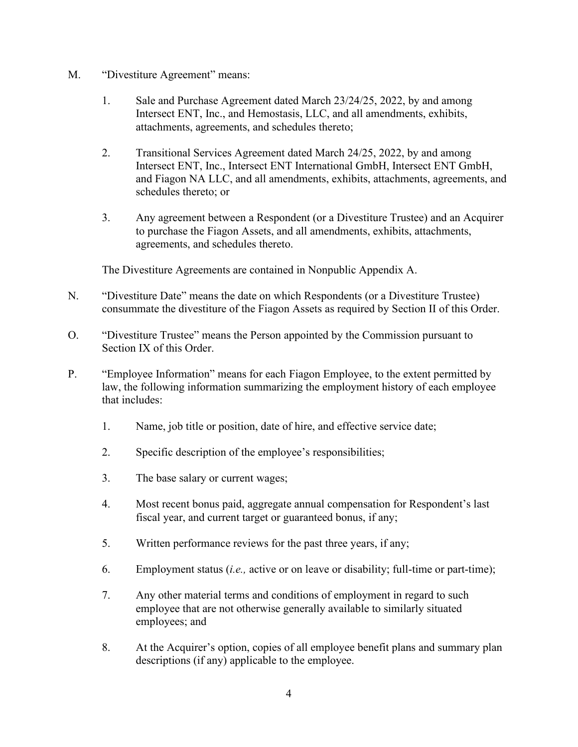- M. "Divestiture Agreement" means:
	- 1. Sale and Purchase Agreement dated March 23/24/25, 2022, by and among Intersect ENT, Inc., and Hemostasis, LLC, and all amendments, exhibits, attachments, agreements, and schedules thereto;
	- 2. Transitional Services Agreement dated March 24/25, 2022, by and among Intersect ENT, Inc., Intersect ENT International GmbH, Intersect ENT GmbH, and Fiagon NA LLC, and all amendments, exhibits, attachments, agreements, and schedules thereto; or
	- 3. Any agreement between a Respondent (or a Divestiture Trustee) and an Acquirer to purchase the Fiagon Assets, and all amendments, exhibits, attachments, agreements, and schedules thereto.

The Divestiture Agreements are contained in Nonpublic Appendix A.

- N. "Divestiture Date" means the date on which Respondents (or a Divestiture Trustee) consummate the divestiture of the Fiagon Assets as required by Section II of this Order.
- Section IX of this Order. O. "Divestiture Trustee" means the Person appointed by the Commission pursuant to
- P. "Employee Information" means for each Fiagon Employee, to the extent permitted by law, the following information summarizing the employment history of each employee that includes:
	- 1. Name, job title or position, date of hire, and effective service date;
	- 2. Specific description of the employee's responsibilities;
	- 3. The base salary or current wages;
	- 4. Most recent bonus paid, aggregate annual compensation for Respondent's last fiscal year, and current target or guaranteed bonus, if any;
	- 5. Written performance reviews for the past three years, if any;
	- 6. Employment status (*i.e.,* active or on leave or disability; full-time or part-time);
	- 7. Any other material terms and conditions of employment in regard to such employee that are not otherwise generally available to similarly situated employees; and
	- 8. At the Acquirer's option, copies of all employee benefit plans and summary plan descriptions (if any) applicable to the employee.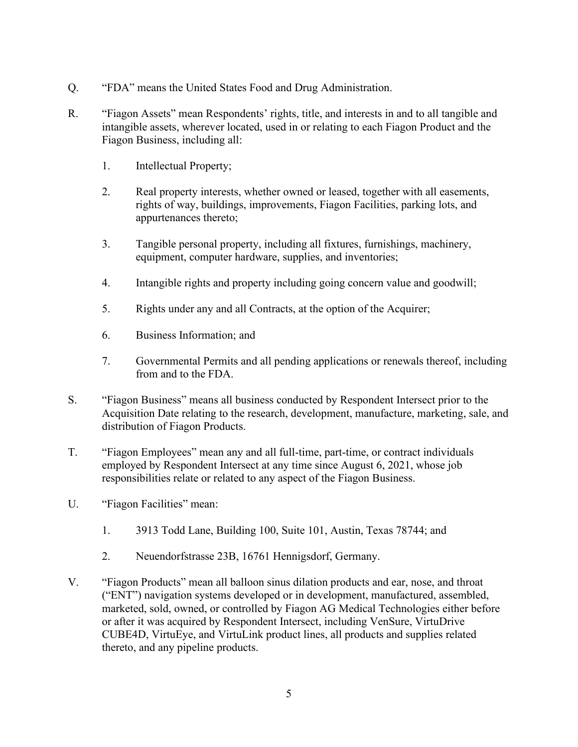- Q. "FDA" means the United States Food and Drug Administration.
- intangible assets, wherever located, used in or relating to each Fiagon Product and the R. "Fiagon Assets" mean Respondents' rights, title, and interests in and to all tangible and Fiagon Business, including all:
	- 1. Intellectual Property;
	- 2. Real property interests, whether owned or leased, together with all easements, rights of way, buildings, improvements, Fiagon Facilities, parking lots, and appurtenances thereto;
	- 3. Tangible personal property, including all fixtures, furnishings, machinery, equipment, computer hardware, supplies, and inventories;
	- 4. Intangible rights and property including going concern value and goodwill;
	- 5. Rights under any and all Contracts, at the option of the Acquirer;
	- 6. Business Information; and
	- 7. Governmental Permits and all pending applications or renewals thereof, including from and to the FDA.
- distribution of Fiagon Products. S. "Fiagon Business" means all business conducted by Respondent Intersect prior to the Acquisition Date relating to the research, development, manufacture, marketing, sale, and
- T. "Fiagon Employees" mean any and all full-time, part-time, or contract individuals employed by Respondent Intersect at any time since August 6, 2021, whose job responsibilities relate or related to any aspect of the Fiagon Business.
- U. "Fiagon Facilities" mean:
	- 1. 3913 Todd Lane, Building 100, Suite 101, Austin, Texas 78744; and
	- 2. Neuendorfstrasse 23B, 16761 Hennigsdorf, Germany.
- ("ENT") navigation systems developed or in development, manufactured, assembled, CUBE4D, VirtuEye, and VirtuLink product lines, all products and supplies related thereto, and any pipeline products. V. "Fiagon Products" mean all balloon sinus dilation products and ear, nose, and throat marketed, sold, owned, or controlled by Fiagon AG Medical Technologies either before or after it was acquired by Respondent Intersect, including VenSure, VirtuDrive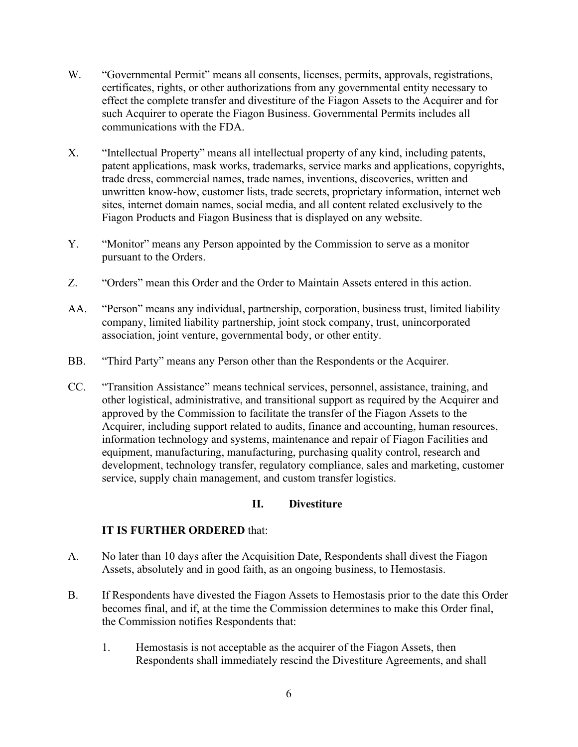- W. "Governmental Permit" means all consents, licenses, permits, approvals, registrations, certificates, rights, or other authorizations from any governmental entity necessary to effect the complete transfer and divestiture of the Fiagon Assets to the Acquirer and for such Acquirer to operate the Fiagon Business. Governmental Permits includes all communications with the FDA.
- X. "Intellectual Property" means all intellectual property of any kind, including patents, patent applications, mask works, trademarks, service marks and applications, copyrights, trade dress, commercial names, trade names, inventions, discoveries, written and unwritten know-how, customer lists, trade secrets, proprietary information, internet web sites, internet domain names, social media, and all content related exclusively to the Fiagon Products and Fiagon Business that is displayed on any website.
- Y. "Monitor" means any Person appointed by the Commission to serve as a monitor pursuant to the Orders.
- Z. "Orders" mean this Order and the Order to Maintain Assets entered in this action.
- association, joint venture, governmental body, or other entity. AA. "Person" means any individual, partnership, corporation, business trust, limited liability company, limited liability partnership, joint stock company, trust, unincorporated
- BB. "Third Party" means any Person other than the Respondents or the Acquirer.
- CC. "Transition Assistance" means technical services, personnel, assistance, training, and other logistical, administrative, and transitional support as required by the Acquirer and approved by the Commission to facilitate the transfer of the Fiagon Assets to the Acquirer, including support related to audits, finance and accounting, human resources, information technology and systems, maintenance and repair of Fiagon Facilities and equipment, manufacturing, manufacturing, purchasing quality control, research and development, technology transfer, regulatory compliance, sales and marketing, customer service, supply chain management, and custom transfer logistics.

# **II. Divestiture**

- A. No later than 10 days after the Acquisition Date, Respondents shall divest the Fiagon Assets, absolutely and in good faith, as an ongoing business, to Hemostasis.
- B. If Respondents have divested the Fiagon Assets to Hemostasis prior to the date this Order becomes final, and if, at the time the Commission determines to make this Order final, the Commission notifies Respondents that:
	- Respondents shall immediately rescind the Divestiture Agreements, and shall 1. Hemostasis is not acceptable as the acquirer of the Fiagon Assets, then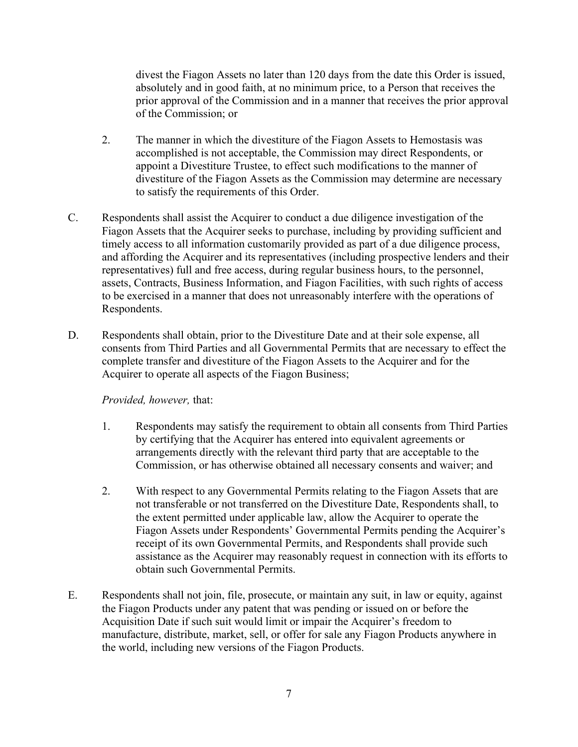absolutely and in good faith, at no minimum price, to a Person that receives the prior approval of the Commission and in a manner that receives the prior approval divest the Fiagon Assets no later than 120 days from the date this Order is issued, of the Commission; or

- 2. The manner in which the divestiture of the Fiagon Assets to Hemostasis was accomplished is not acceptable, the Commission may direct Respondents, or appoint a Divestiture Trustee, to effect such modifications to the manner of divestiture of the Fiagon Assets as the Commission may determine are necessary to satisfy the requirements of this Order.
- C. Respondents shall assist the Acquirer to conduct a due diligence investigation of the Fiagon Assets that the Acquirer seeks to purchase, including by providing sufficient and timely access to all information customarily provided as part of a due diligence process, and affording the Acquirer and its representatives (including prospective lenders and their representatives) full and free access, during regular business hours, to the personnel, assets, Contracts, Business Information, and Fiagon Facilities, with such rights of access to be exercised in a manner that does not unreasonably interfere with the operations of Respondents.
- complete transfer and divestiture of the Fiagon Assets to the Acquirer and for the D. Respondents shall obtain, prior to the Divestiture Date and at their sole expense, all consents from Third Parties and all Governmental Permits that are necessary to effect the Acquirer to operate all aspects of the Fiagon Business;

#### *Provided, however,* that:

- Commission, or has otherwise obtained all necessary consents and waiver; and 1. Respondents may satisfy the requirement to obtain all consents from Third Parties by certifying that the Acquirer has entered into equivalent agreements or arrangements directly with the relevant third party that are acceptable to the
- 2. With respect to any Governmental Permits relating to the Fiagon Assets that are not transferable or not transferred on the Divestiture Date, Respondents shall, to the extent permitted under applicable law, allow the Acquirer to operate the Fiagon Assets under Respondents' Governmental Permits pending the Acquirer's receipt of its own Governmental Permits, and Respondents shall provide such assistance as the Acquirer may reasonably request in connection with its efforts to obtain such Governmental Permits.
- E. Respondents shall not join, file, prosecute, or maintain any suit, in law or equity, against the Fiagon Products under any patent that was pending or issued on or before the Acquisition Date if such suit would limit or impair the Acquirer's freedom to manufacture, distribute, market, sell, or offer for sale any Fiagon Products anywhere in the world, including new versions of the Fiagon Products.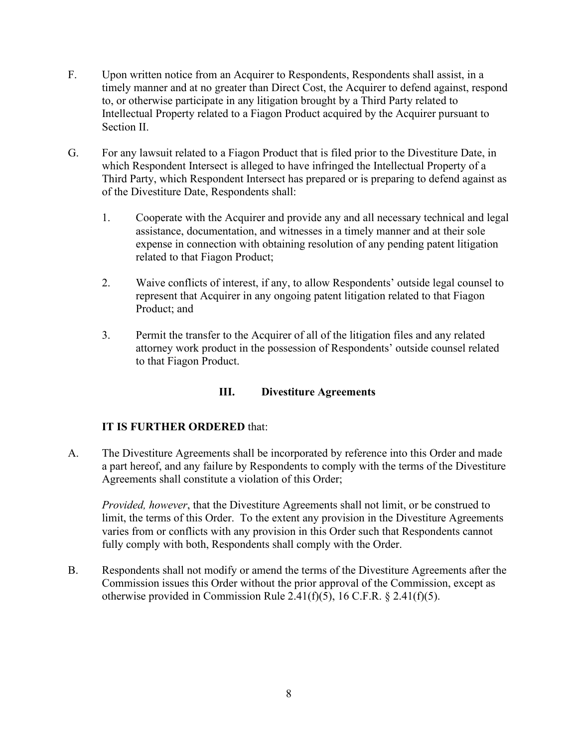- F. Upon written notice from an Acquirer to Respondents, Respondents shall assist, in a to, or otherwise participate in any litigation brought by a Third Party related to Intellectual Property related to a Fiagon Product acquired by the Acquirer pursuant to timely manner and at no greater than Direct Cost, the Acquirer to defend against, respond Section II.
- G. For any lawsuit related to a Fiagon Product that is filed prior to the Divestiture Date, in which Respondent Intersect is alleged to have infringed the Intellectual Property of a Third Party, which Respondent Intersect has prepared or is preparing to defend against as of the Divestiture Date, Respondents shall:
	- assistance, documentation, and witnesses in a timely manner and at their sole related to that Fiagon Product; 1. Cooperate with the Acquirer and provide any and all necessary technical and legal expense in connection with obtaining resolution of any pending patent litigation
	- 2. Waive conflicts of interest, if any, to allow Respondents' outside legal counsel to represent that Acquirer in any ongoing patent litigation related to that Fiagon Product; and
	- 3. Permit the transfer to the Acquirer of all of the litigation files and any related attorney work product in the possession of Respondents' outside counsel related to that Fiagon Product.

# **III. Divestiture Agreements**

# **IT IS FURTHER ORDERED** that:

A. The Divestiture Agreements shall be incorporated by reference into this Order and made a part hereof, and any failure by Respondents to comply with the terms of the Divestiture Agreements shall constitute a violation of this Order;

 *Provided, however*, that the Divestiture Agreements shall not limit, or be construed to limit, the terms of this Order. To the extent any provision in the Divestiture Agreements varies from or conflicts with any provision in this Order such that Respondents cannot fully comply with both, Respondents shall comply with the Order.

B. Respondents shall not modify or amend the terms of the Divestiture Agreements after the Commission issues this Order without the prior approval of the Commission, except as otherwise provided in Commission Rule 2.41(f)(5), 16 C.F.R. § 2.41(f)(5).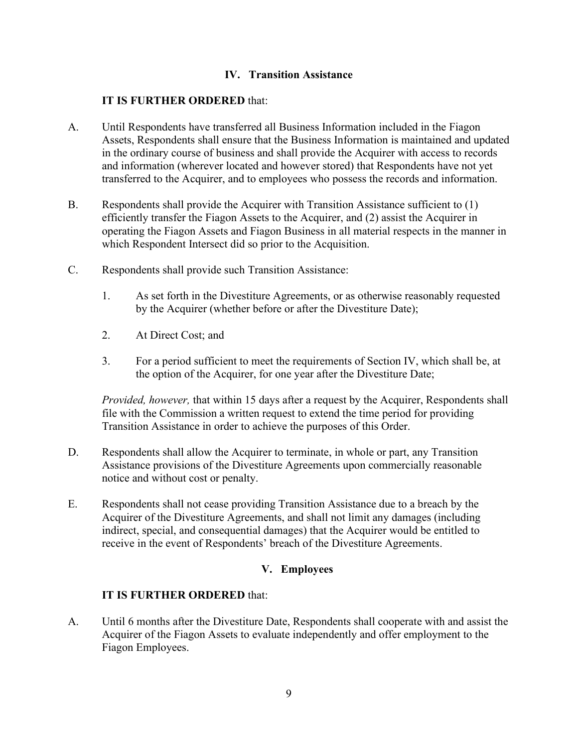# **IV. Transition Assistance**

#### **IT IS FURTHER ORDERED** that:

- A. Until Respondents have transferred all Business Information included in the Fiagon Assets, Respondents shall ensure that the Business Information is maintained and updated in the ordinary course of business and shall provide the Acquirer with access to records and information (wherever located and however stored) that Respondents have not yet transferred to the Acquirer, and to employees who possess the records and information.
- B. Respondents shall provide the Acquirer with Transition Assistance sufficient to (1) efficiently transfer the Fiagon Assets to the Acquirer, and (2) assist the Acquirer in operating the Fiagon Assets and Fiagon Business in all material respects in the manner in
- which Respondent Intersect did so prior to the Acquisition.<br>C. Respondents shall provide such Transition Assistance: Respondents shall provide such Transition Assistance:
	- 1. As set forth in the Divestiture Agreements, or as otherwise reasonably requested by the Acquirer (whether before or after the Divestiture Date);
	- 2. At Direct Cost; and
	- 3. For a period sufficient to meet the requirements of Section IV, which shall be, at the option of the Acquirer, for one year after the Divestiture Date;

*Provided, however,* that within 15 days after a request by the Acquirer, Respondents shall file with the Commission a written request to extend the time period for providing Transition Assistance in order to achieve the purposes of this Order.

- notice and without cost or penalty. D. Respondents shall allow the Acquirer to terminate, in whole or part, any Transition Assistance provisions of the Divestiture Agreements upon commercially reasonable
- E. Respondents shall not cease providing Transition Assistance due to a breach by the Acquirer of the Divestiture Agreements, and shall not limit any damages (including indirect, special, and consequential damages) that the Acquirer would be entitled to receive in the event of Respondents' breach of the Divestiture Agreements.

# **V. Employees**

#### **IT IS FURTHER ORDERED** that:

 Fiagon Employees. A. Until 6 months after the Divestiture Date, Respondents shall cooperate with and assist the Acquirer of the Fiagon Assets to evaluate independently and offer employment to the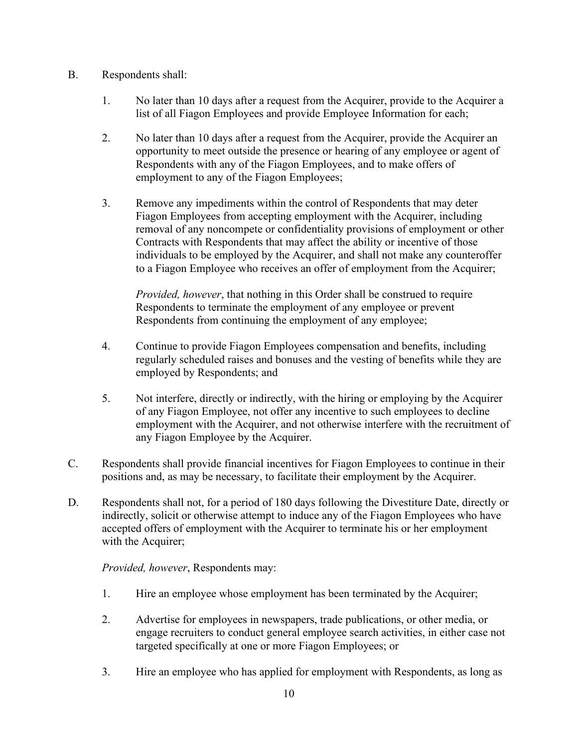- B. Respondents shall:
	- 1. No later than 10 days after a request from the Acquirer, provide to the Acquirer a list of all Fiagon Employees and provide Employee Information for each;
	- Respondents with any of the Fiagon Employees, and to make offers of employment to any of the Fiagon Employees; 2. No later than 10 days after a request from the Acquirer, provide the Acquirer an opportunity to meet outside the presence or hearing of any employee or agent of
	- to a Fiagon Employee who receives an offer of employment from the Acquirer; 3. Remove any impediments within the control of Respondents that may deter Fiagon Employees from accepting employment with the Acquirer, including removal of any noncompete or confidentiality provisions of employment or other Contracts with Respondents that may affect the ability or incentive of those individuals to be employed by the Acquirer, and shall not make any counteroffer

*Provided, however*, that nothing in this Order shall be construed to require Respondents to terminate the employment of any employee or prevent Respondents from continuing the employment of any employee;

- 4. Continue to provide Fiagon Employees compensation and benefits, including regularly scheduled raises and bonuses and the vesting of benefits while they are employed by Respondents; and
- any Fiagon Employee by the Acquirer. 5. Not interfere, directly or indirectly, with the hiring or employing by the Acquirer of any Fiagon Employee, not offer any incentive to such employees to decline employment with the Acquirer, and not otherwise interfere with the recruitment of
- C. Respondents shall provide financial incentives for Fiagon Employees to continue in their positions and, as may be necessary, to facilitate their employment by the Acquirer.
- D. Respondents shall not, for a period of 180 days following the Divestiture Date, directly or indirectly, solicit or otherwise attempt to induce any of the Fiagon Employees who have accepted offers of employment with the Acquirer to terminate his or her employment with the Acquirer;

*Provided, however*, Respondents may:

- 1. Hire an employee whose employment has been terminated by the Acquirer;
- 2. Advertise for employees in newspapers, trade publications, or other media, or engage recruiters to conduct general employee search activities, in either case not targeted specifically at one or more Fiagon Employees; or
- 3. Hire an employee who has applied for employment with Respondents, as long as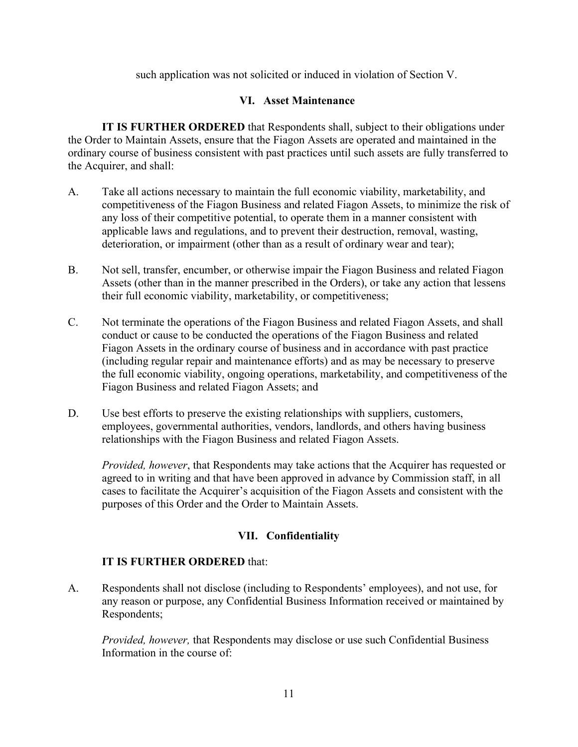such application was not solicited or induced in violation of Section V.

# **VI. Asset Maintenance**

 **IT IS FURTHER ORDERED** that Respondents shall, subject to their obligations under the Order to Maintain Assets, ensure that the Fiagon Assets are operated and maintained in the ordinary course of business consistent with past practices until such assets are fully transferred to the Acquirer, and shall:

- any loss of their competitive potential, to operate them in a manner consistent with deterioration, or impairment (other than as a result of ordinary wear and tear); A. Take all actions necessary to maintain the full economic viability, marketability, and competitiveness of the Fiagon Business and related Fiagon Assets, to minimize the risk of applicable laws and regulations, and to prevent their destruction, removal, wasting,
- their full economic viability, marketability, or competitiveness; B. Not sell, transfer, encumber, or otherwise impair the Fiagon Business and related Fiagon Assets (other than in the manner prescribed in the Orders), or take any action that lessens
- (including regular repair and maintenance efforts) and as may be necessary to preserve Fiagon Business and related Fiagon Assets; and C. Not terminate the operations of the Fiagon Business and related Fiagon Assets, and shall conduct or cause to be conducted the operations of the Fiagon Business and related Fiagon Assets in the ordinary course of business and in accordance with past practice the full economic viability, ongoing operations, marketability, and competitiveness of the
- D. Use best efforts to preserve the existing relationships with suppliers, customers, employees, governmental authorities, vendors, landlords, and others having business relationships with the Fiagon Business and related Fiagon Assets.

*Provided, however*, that Respondents may take actions that the Acquirer has requested or agreed to in writing and that have been approved in advance by Commission staff, in all cases to facilitate the Acquirer's acquisition of the Fiagon Assets and consistent with the purposes of this Order and the Order to Maintain Assets.

# **VII. Confidentiality**

# **IT IS FURTHER ORDERED** that:

 A. Respondents shall not disclose (including to Respondents' employees), and not use, for any reason or purpose, any Confidential Business Information received or maintained by Respondents;

*Provided, however,* that Respondents may disclose or use such Confidential Business Information in the course of: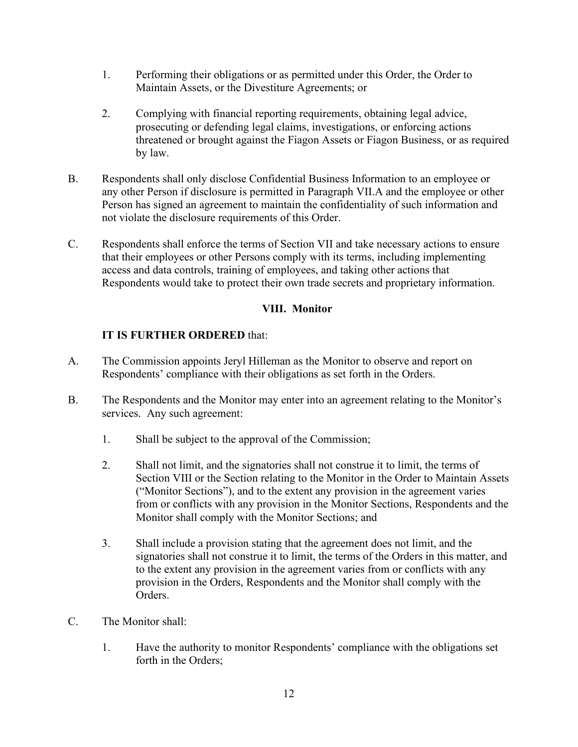- Maintain Assets, or the Divestiture Agreements; or 1. Performing their obligations or as permitted under this Order, the Order to
- threatened or brought against the Fiagon Assets or Fiagon Business, or as required 2. Complying with financial reporting requirements, obtaining legal advice, prosecuting or defending legal claims, investigations, or enforcing actions by law.
- B. Respondents shall only disclose Confidential Business Information to an employee or any other Person if disclosure is permitted in Paragraph VII.A and the employee or other Person has signed an agreement to maintain the confidentiality of such information and not violate the disclosure requirements of this Order.
- C. Respondents shall enforce the terms of Section VII and take necessary actions to ensure that their employees or other Persons comply with its terms, including implementing Respondents would take to protect their own trade secrets and proprietary information. access and data controls, training of employees, and taking other actions that

# **VIII. Monitor**

- A. The Commission appoints Jeryl Hilleman as the Monitor to observe and report on Respondents' compliance with their obligations as set forth in the Orders.
- B. The Respondents and the Monitor may enter into an agreement relating to the Monitor's services. Any such agreement:
	- 1. Shall be subject to the approval of the Commission;
	- 2. Shall not limit, and the signatories shall not construe it to limit, the terms of Section VIII or the Section relating to the Monitor in the Order to Maintain Assets ("Monitor Sections"), and to the extent any provision in the agreement varies from or conflicts with any provision in the Monitor Sections, Respondents and the Monitor shall comply with the Monitor Sections; and
	- 3. Shall include a provision stating that the agreement does not limit, and the signatories shall not construe it to limit, the terms of the Orders in this matter, and to the extent any provision in the agreement varies from or conflicts with any provision in the Orders, Respondents and the Monitor shall comply with the Orders.
- The Monitor shall:
- C. The Monitor shall:<br>1. Have the authority to monitor Respondents' compliance with the obligations set forth in the Orders;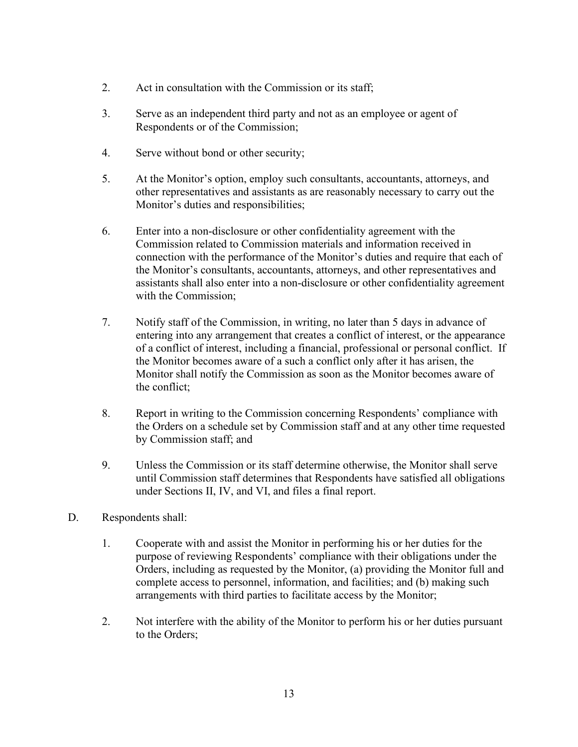- 2. Act in consultation with the Commission or its staff;
- 3. Serve as an independent third party and not as an employee or agent of Respondents or of the Commission;
- 4. Serve without bond or other security;
- 5. At the Monitor's option, employ such consultants, accountants, attorneys, and other representatives and assistants as are reasonably necessary to carry out the Monitor's duties and responsibilities;
- 6. Enter into a non-disclosure or other confidentiality agreement with the Commission related to Commission materials and information received in connection with the performance of the Monitor's duties and require that each of the Monitor's consultants, accountants, attorneys, and other representatives and assistants shall also enter into a non-disclosure or other confidentiality agreement with the Commission;
- 7. Notify staff of the Commission, in writing, no later than 5 days in advance of the Monitor becomes aware of a such a conflict only after it has arisen, the entering into any arrangement that creates a conflict of interest, or the appearance of a conflict of interest, including a financial, professional or personal conflict. If Monitor shall notify the Commission as soon as the Monitor becomes aware of the conflict;
- by Commission staff; and 8. Report in writing to the Commission concerning Respondents' compliance with the Orders on a schedule set by Commission staff and at any other time requested
- under Sections II, IV, and VI, and files a final report. 9. Unless the Commission or its staff determine otherwise, the Monitor shall serve until Commission staff determines that Respondents have satisfied all obligations
- Respondents shall:
- D. Respondents shall:<br>1. Cooperate with and assist the Monitor in performing his or her duties for the purpose of reviewing Respondents' compliance with their obligations under the Orders, including as requested by the Monitor, (a) providing the Monitor full and complete access to personnel, information, and facilities; and (b) making such arrangements with third parties to facilitate access by the Monitor;
	- 2. Not interfere with the ability of the Monitor to perform his or her duties pursuant to the Orders;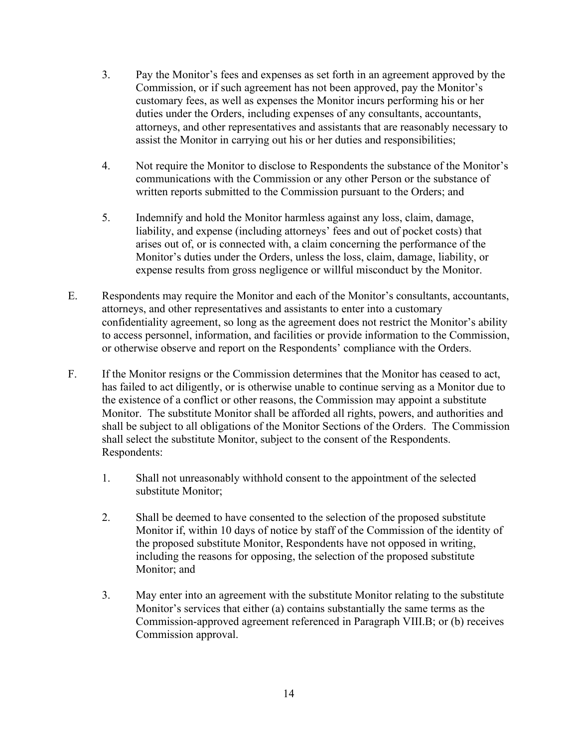- 3. Pay the Monitor's fees and expenses as set forth in an agreement approved by the Commission, or if such agreement has not been approved, pay the Monitor's customary fees, as well as expenses the Monitor incurs performing his or her duties under the Orders, including expenses of any consultants, accountants, attorneys, and other representatives and assistants that are reasonably necessary to assist the Monitor in carrying out his or her duties and responsibilities;
- 4. Not require the Monitor to disclose to Respondents the substance of the Monitor's communications with the Commission or any other Person or the substance of written reports submitted to the Commission pursuant to the Orders; and
- 5. Indemnify and hold the Monitor harmless against any loss, claim, damage, liability, and expense (including attorneys' fees and out of pocket costs) that arises out of, or is connected with, a claim concerning the performance of the Monitor's duties under the Orders, unless the loss, claim, damage, liability, or expense results from gross negligence or willful misconduct by the Monitor.
- or otherwise observe and report on the Respondents' compliance with the Orders. E. Respondents may require the Monitor and each of the Monitor's consultants, accountants, attorneys, and other representatives and assistants to enter into a customary confidentiality agreement, so long as the agreement does not restrict the Monitor's ability to access personnel, information, and facilities or provide information to the Commission,
- F. If the Monitor resigns or the Commission determines that the Monitor has ceased to act, has failed to act diligently, or is otherwise unable to continue serving as a Monitor due to the existence of a conflict or other reasons, the Commission may appoint a substitute Monitor. The substitute Monitor shall be afforded all rights, powers, and authorities and shall be subject to all obligations of the Monitor Sections of the Orders. The Commission shall select the substitute Monitor, subject to the consent of the Respondents. Respondents:
	- 1. Shall not unreasonably withhold consent to the appointment of the selected substitute Monitor;
	- 2. Shall be deemed to have consented to the selection of the proposed substitute Monitor if, within 10 days of notice by staff of the Commission of the identity of the proposed substitute Monitor, Respondents have not opposed in writing, including the reasons for opposing, the selection of the proposed substitute Monitor; and
	- 3. May enter into an agreement with the substitute Monitor relating to the substitute Monitor's services that either (a) contains substantially the same terms as the Commission-approved agreement referenced in Paragraph VIII.B; or (b) receives Commission approval.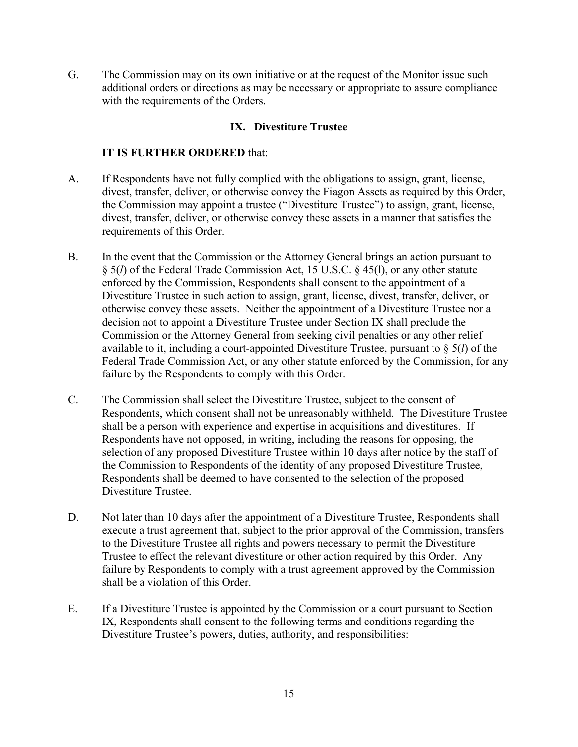with the requirements of the Orders. G. The Commission may on its own initiative or at the request of the Monitor issue such additional orders or directions as may be necessary or appropriate to assure compliance

# **IX. Divestiture Trustee**

- A. If Respondents have not fully complied with the obligations to assign, grant, license, divest, transfer, deliver, or otherwise convey the Fiagon Assets as required by this Order, the Commission may appoint a trustee ("Divestiture Trustee") to assign, grant, license, divest, transfer, deliver, or otherwise convey these assets in a manner that satisfies the requirements of this Order.
- B. In the event that the Commission or the Attorney General brings an action pursuant to § 5(*l*) of the Federal Trade Commission Act, 15 U.S.C. § 45(l), or any other statute decision not to appoint a Divestiture Trustee under Section IX shall preclude the enforced by the Commission, Respondents shall consent to the appointment of a Divestiture Trustee in such action to assign, grant, license, divest, transfer, deliver, or otherwise convey these assets. Neither the appointment of a Divestiture Trustee nor a Commission or the Attorney General from seeking civil penalties or any other relief available to it, including a court-appointed Divestiture Trustee, pursuant to § 5(*l*) of the Federal Trade Commission Act, or any other statute enforced by the Commission, for any failure by the Respondents to comply with this Order.
- C. The Commission shall select the Divestiture Trustee, subject to the consent of Respondents, which consent shall not be unreasonably withheld. The Divestiture Trustee shall be a person with experience and expertise in acquisitions and divestitures. If Respondents have not opposed, in writing, including the reasons for opposing, the selection of any proposed Divestiture Trustee within 10 days after notice by the staff of the Commission to Respondents of the identity of any proposed Divestiture Trustee, Respondents shall be deemed to have consented to the selection of the proposed Divestiture Trustee.
- D. Not later than 10 days after the appointment of a Divestiture Trustee, Respondents shall Trustee to effect the relevant divestiture or other action required by this Order. Any execute a trust agreement that, subject to the prior approval of the Commission, transfers to the Divestiture Trustee all rights and powers necessary to permit the Divestiture failure by Respondents to comply with a trust agreement approved by the Commission shall be a violation of this Order.
- E. If a Divestiture Trustee is appointed by the Commission or a court pursuant to Section IX, Respondents shall consent to the following terms and conditions regarding the Divestiture Trustee's powers, duties, authority, and responsibilities: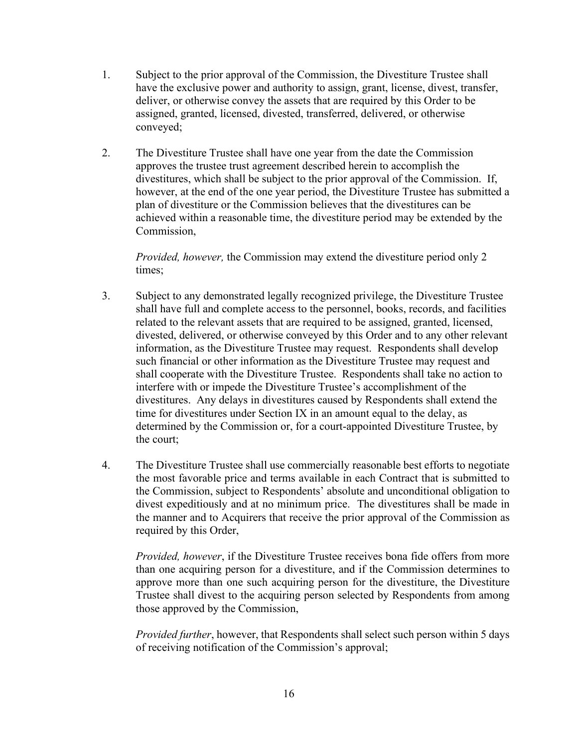- 1. Subject to the prior approval of the Commission, the Divestiture Trustee shall have the exclusive power and authority to assign, grant, license, divest, transfer, deliver, or otherwise convey the assets that are required by this Order to be assigned, granted, licensed, divested, transferred, delivered, or otherwise conveyed;
- 2. The Divestiture Trustee shall have one year from the date the Commission approves the trustee trust agreement described herein to accomplish the divestitures, which shall be subject to the prior approval of the Commission. If, however, at the end of the one year period, the Divestiture Trustee has submitted a plan of divestiture or the Commission believes that the divestitures can be achieved within a reasonable time, the divestiture period may be extended by the Commission,

*Provided, however,* the Commission may extend the divestiture period only 2 times;

- divested, delivered, or otherwise conveyed by this Order and to any other relevant such financial or other information as the Divestiture Trustee may request and time for divestitures under Section IX in an amount equal to the delay, as 3. Subject to any demonstrated legally recognized privilege, the Divestiture Trustee shall have full and complete access to the personnel, books, records, and facilities related to the relevant assets that are required to be assigned, granted, licensed, information, as the Divestiture Trustee may request. Respondents shall develop shall cooperate with the Divestiture Trustee. Respondents shall take no action to interfere with or impede the Divestiture Trustee's accomplishment of the divestitures. Any delays in divestitures caused by Respondents shall extend the determined by the Commission or, for a court-appointed Divestiture Trustee, by the court;
- 4. The Divestiture Trustee shall use commercially reasonable best efforts to negotiate the most favorable price and terms available in each Contract that is submitted to the Commission, subject to Respondents' absolute and unconditional obligation to divest expeditiously and at no minimum price. The divestitures shall be made in the manner and to Acquirers that receive the prior approval of the Commission as required by this Order,

*Provided, however*, if the Divestiture Trustee receives bona fide offers from more than one acquiring person for a divestiture, and if the Commission determines to approve more than one such acquiring person for the divestiture, the Divestiture Trustee shall divest to the acquiring person selected by Respondents from among those approved by the Commission,

*Provided further*, however, that Respondents shall select such person within 5 days of receiving notification of the Commission's approval;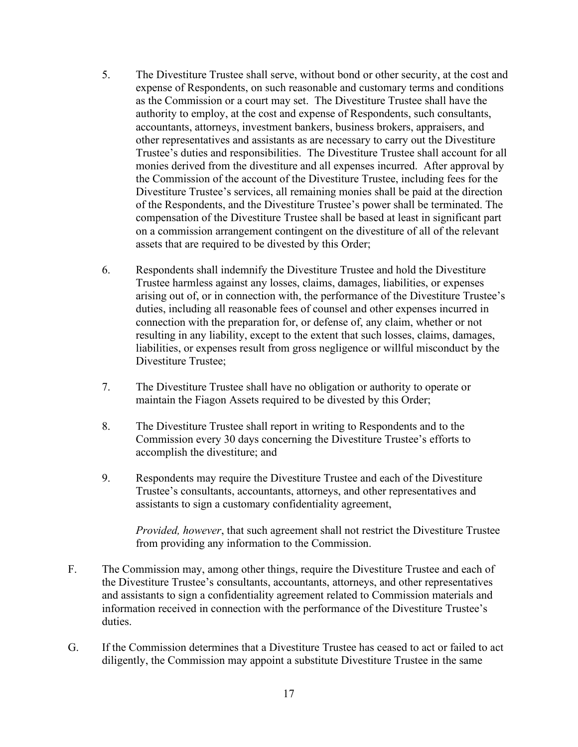- Trustee's duties and responsibilities. The Divestiture Trustee shall account for all 5. The Divestiture Trustee shall serve, without bond or other security, at the cost and expense of Respondents, on such reasonable and customary terms and conditions as the Commission or a court may set. The Divestiture Trustee shall have the authority to employ, at the cost and expense of Respondents, such consultants, accountants, attorneys, investment bankers, business brokers, appraisers, and other representatives and assistants as are necessary to carry out the Divestiture monies derived from the divestiture and all expenses incurred. After approval by the Commission of the account of the Divestiture Trustee, including fees for the Divestiture Trustee's services, all remaining monies shall be paid at the direction of the Respondents, and the Divestiture Trustee's power shall be terminated. The compensation of the Divestiture Trustee shall be based at least in significant part on a commission arrangement contingent on the divestiture of all of the relevant assets that are required to be divested by this Order;
- 6. Respondents shall indemnify the Divestiture Trustee and hold the Divestiture Trustee harmless against any losses, claims, damages, liabilities, or expenses arising out of, or in connection with, the performance of the Divestiture Trustee's duties, including all reasonable fees of counsel and other expenses incurred in connection with the preparation for, or defense of, any claim, whether or not resulting in any liability, except to the extent that such losses, claims, damages, liabilities, or expenses result from gross negligence or willful misconduct by the Divestiture Trustee;
- 7. The Divestiture Trustee shall have no obligation or authority to operate or maintain the Fiagon Assets required to be divested by this Order;
- 8. The Divestiture Trustee shall report in writing to Respondents and to the Commission every 30 days concerning the Divestiture Trustee's efforts to accomplish the divestiture; and
- Trustee's consultants, accountants, attorneys, and other representatives and 9. Respondents may require the Divestiture Trustee and each of the Divestiture assistants to sign a customary confidentiality agreement,

*Provided, however*, that such agreement shall not restrict the Divestiture Trustee from providing any information to the Commission.

- F. The Commission may, among other things, require the Divestiture Trustee and each of the Divestiture Trustee's consultants, accountants, attorneys, and other representatives and assistants to sign a confidentiality agreement related to Commission materials and information received in connection with the performance of the Divestiture Trustee's duties.
- G. If the Commission determines that a Divestiture Trustee has ceased to act or failed to act diligently, the Commission may appoint a substitute Divestiture Trustee in the same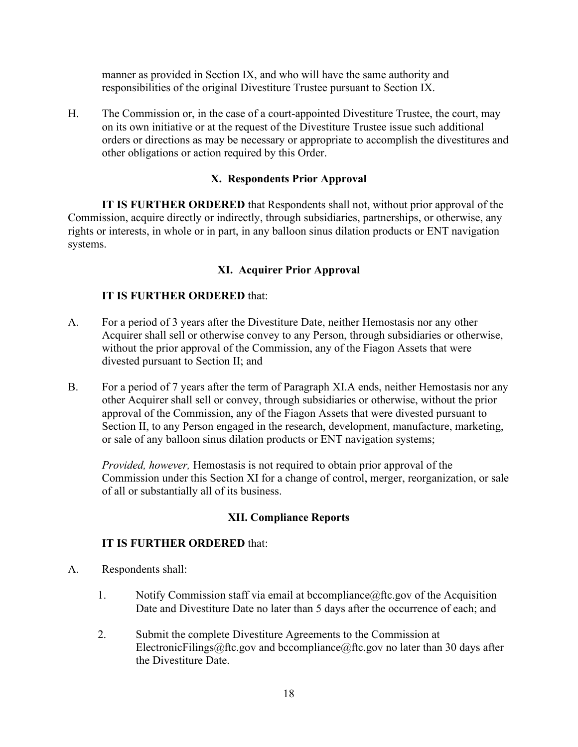manner as provided in Section IX, and who will have the same authority and responsibilities of the original Divestiture Trustee pursuant to Section IX.

H. The Commission or, in the case of a court-appointed Divestiture Trustee, the court, may on its own initiative or at the request of the Divestiture Trustee issue such additional orders or directions as may be necessary or appropriate to accomplish the divestitures and other obligations or action required by this Order.

# **X. Respondents Prior Approval**

 **IT IS FURTHER ORDERED** that Respondents shall not, without prior approval of the Commission, acquire directly or indirectly, through subsidiaries, partnerships, or otherwise, any rights or interests, in whole or in part, in any balloon sinus dilation products or ENT navigation systems.

# **XI. Acquirer Prior Approval**

# **IT IS FURTHER ORDERED** that:

- divested pursuant to Section II; and A. For a period of 3 years after the Divestiture Date, neither Hemostasis nor any other Acquirer shall sell or otherwise convey to any Person, through subsidiaries or otherwise, without the prior approval of the Commission, any of the Fiagon Assets that were
- B. For a period of 7 years after the term of Paragraph XI.A ends, neither Hemostasis nor any other Acquirer shall sell or convey, through subsidiaries or otherwise, without the prior approval of the Commission, any of the Fiagon Assets that were divested pursuant to Section II, to any Person engaged in the research, development, manufacture, marketing, or sale of any balloon sinus dilation products or ENT navigation systems;

 of all or substantially all of its business. *Provided, however,* Hemostasis is not required to obtain prior approval of the Commission under this Section XI for a change of control, merger, reorganization, or sale

# **XII. Compliance Reports**

- A. Respondents shall:
	- 1. Notify Commission staff via email at [bccompliance@ftc.gov](mailto:bccompliance@ftc.gov) of the Acquisition Date and Divestiture Date no later than 5 days after the occurrence of each; and
	- 2. Submit the complete Divestiture Agreements to the Commission at [ElectronicFilings@ftc.gov](mailto:ElectronicFilings@ftc.gov) and [bccompliance@ftc.gov](mailto:bccompliance@ftc.gov) no later than 30 days after the Divestiture Date.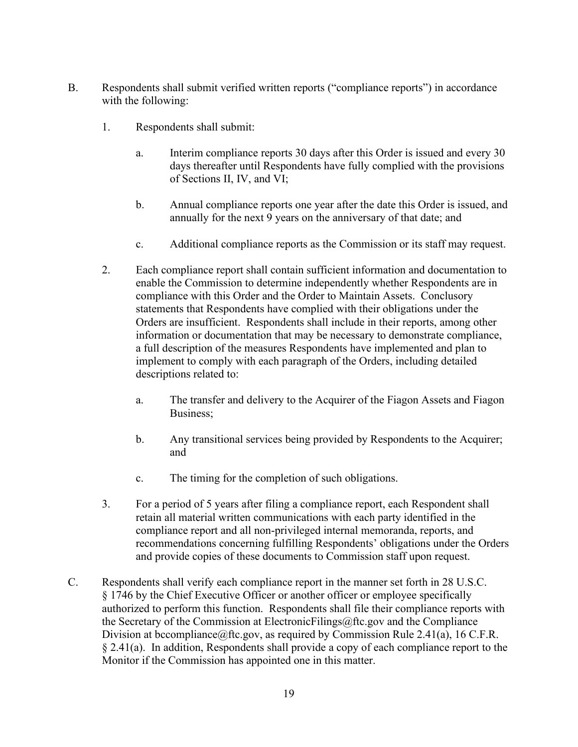- B. Respondents shall submit verified written reports ("compliance reports") in accordance with the following:
	- 1. Respondents shall submit:
		- days thereafter until Respondents have fully complied with the provisions of Sections II, IV, and VI; a. Interim compliance reports 30 days after this Order is issued and every 30
		- annually for the next 9 years on the anniversary of that date; and b. Annual compliance reports one year after the date this Order is issued, and
		- c. Additional compliance reports as the Commission or its staff may request.
	- compliance with this Order and the Order to Maintain Assets. Conclusory statements that Respondents have complied with their obligations under the Orders are insufficient. Respondents shall include in their reports, among other a full description of the measures Respondents have implemented and plan to 2. Each compliance report shall contain sufficient information and documentation to enable the Commission to determine independently whether Respondents are in information or documentation that may be necessary to demonstrate compliance, implement to comply with each paragraph of the Orders, including detailed descriptions related to:
		- a. The transfer and delivery to the Acquirer of the Fiagon Assets and Fiagon Business;
		- b. Any transitional services being provided by Respondents to the Acquirer; and
		- c. The timing for the completion of such obligations.
	- 3. For a period of 5 years after filing a compliance report, each Respondent shall retain all material written communications with each party identified in the compliance report and all non-privileged internal memoranda, reports, and recommendations concerning fulfilling Respondents' obligations under the Orders and provide copies of these documents to Commission staff upon request.
- C. Respondents shall verify each compliance report in the manner set forth in 28 U.S.C. § 1746 by the Chief Executive Officer or another officer or employee specifically authorized to perform this function. Respondents shall file their compliance reports with the Secretary of the Commission at [ElectronicFilings@ftc.gov](mailto:ElectronicFilings@ftc.gov) and the Compliance Division at becompliance  $@$ ftc.gov, as required by Commission Rule 2.41(a), 16 C.F.R. § 2.41(a). In addition, Respondents shall provide a copy of each compliance report to the Monitor if the Commission has appointed one in this matter.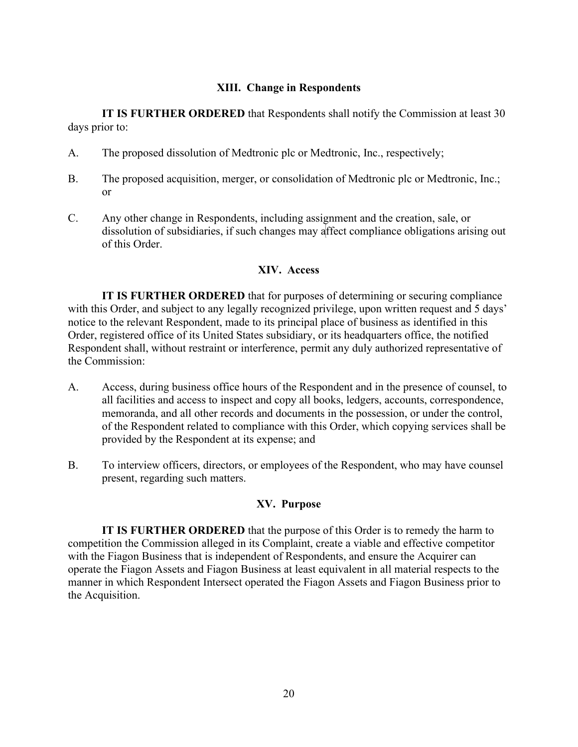### **XIII. Change in Respondents**

**IT IS FURTHER ORDERED** that Respondents shall notify the Commission at least 30 days prior to:

- A. The proposed dissolution of Medtronic plc or Medtronic, Inc., respectively;
- B. The proposed acquisition, merger, or consolidation of Medtronic plc or Medtronic, Inc.; or
- C. Any other change in Respondents, including assignment and the creation, sale, or dissolution of subsidiaries, if such changes may affect compliance obligations arising out of this Order.

#### **XIV. Access**

 with this Order, and subject to any legally recognized privilege, upon written request and 5 days' **IT IS FURTHER ORDERED** that for purposes of determining or securing compliance notice to the relevant Respondent, made to its principal place of business as identified in this Order, registered office of its United States subsidiary, or its headquarters office, the notified Respondent shall, without restraint or interference, permit any duly authorized representative of the Commission:

- A. Access, during business office hours of the Respondent and in the presence of counsel, to memoranda, and all other records and documents in the possession, or under the control, of the Respondent related to compliance with this Order, which copying services shall be provided by the Respondent at its expense; and all facilities and access to inspect and copy all books, ledgers, accounts, correspondence,
- B. To interview officers, directors, or employees of the Respondent, who may have counsel present, regarding such matters.

# **XV. Purpose**

**IT IS FURTHER ORDERED** that the purpose of this Order is to remedy the harm to competition the Commission alleged in its Complaint, create a viable and effective competitor with the Fiagon Business that is independent of Respondents, and ensure the Acquirer can operate the Fiagon Assets and Fiagon Business at least equivalent in all material respects to the manner in which Respondent Intersect operated the Fiagon Assets and Fiagon Business prior to the Acquisition.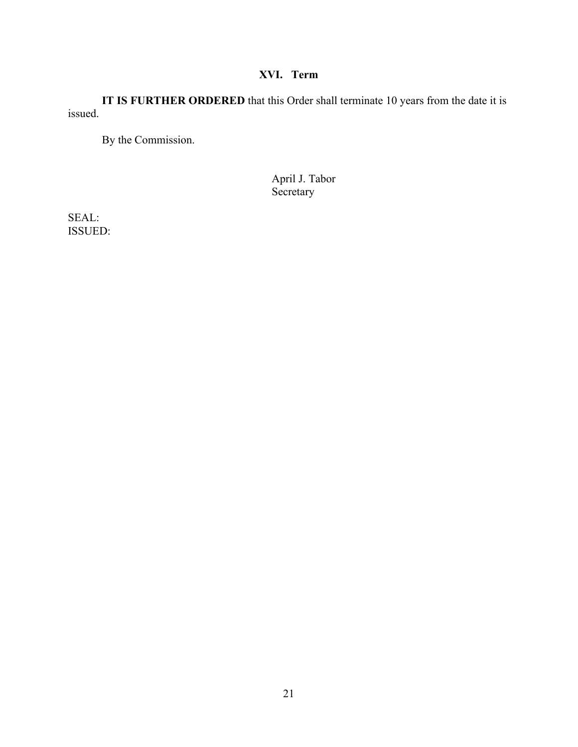#### **XVI. Term**

issued. **IT IS FURTHER ORDERED** that this Order shall terminate 10 years from the date it is

By the Commission.

April J. Tabor **Secretary** 

ISSUED: SEAL: ISSUED: 21